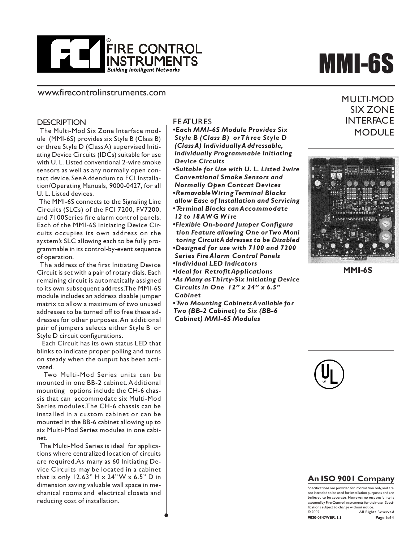

#### www.firecontrolinstruments.com

#### **DESCRIPTION**

 The Multi-Mod Six Zone Interface module (MMI-6S) provides six Style B (Class B) or three Style D (Class A) supervised Initiating Device Circuits (IDCs) suitable for use with U. L. Listed conventional 2-wire smoke sensors as well as any normally open contact device. See A ddendum to FCI Installation/Operating Manuals, 9000-0427, for all U. L. Listed devices.

 The MMI-6S connects to the Signaling Line Circuits (SLCs) of the FCI 7200, FV7200, and 7100Series fire alarm control panels. Each of the MMI-6S Initiating Device Circuits occupies its own address on the system's SLC allowing each to be fully programmable in its control-by-event sequence of operation.

 The address of the first Initiating Device Circuit is set with a pair of rotary dials. Each remaining circuit is automatically assigned to its own subsequent address. The MMI-6S module includes an address disable jumper matrix to allow a maximum of two unused addresses to be turned off to free these addresses for other purposes. An additional pair of jumpers selects either Style B or Style D circuit configurations.

 Each Circuit has its own status LED that blinks to indicate proper polling and turns on steady when the output has been activated.

 Two Multi-Mod Series units can be mounted in one BB-2 cabinet. A dditional mounting options include the CH-6 chassis that can accommodate six Multi-Mod Series modules. The CH-6 chassis can be installed in a custom cabinet or can be mounted in the BB-6 cabinet allowing up to six Multi-Mod Series modules in one cabinet.

 The Multi-Mod Series is ideal for applications where centralized location of circuits are required. As many as 60 Initiating Device Circuits may be located in a cabinet that is only  $12.63" H \times 24" W \times 6.5" D$  in dimension saving valuable wall space in mechanical rooms and electrical closets and reducing cost of installation.

.

#### FEATURES

*•Each MMI-6S Module Provides Six Style B (Class B) or Three Style D (Class A) Individually A ddressable, Individually Programmable Initiating Device Circuits*

- *•Suitable for Use with U. L. Listed 2wire Conventional Smoke Sensors and Normally Open Contcat Devices •Removable Wiring Terminal Blocks*
- *allow Ease of Installation and Servicing •Terminal Blocks can Accommodate*
- *12 to 18 AW G W i re*
- *•Flexible On-board Jumper Configura tion Feature allowing One or Two Moni toring Circuit A ddresses to be Disabled •Designed for use with 7100 and 7200 Series Fire Alarm Control Panels •Individual LED Indicators*
- *•Ideal for Retrofit Applications*
- *•As Many as Thirty-Six Initiating Device Circuits in One 12" x 24" x 6.5" Cabinet*

*•Two Mounting Cabinets A vailable for Two (BB-2 Cabinet) to Six (BB-6 Cabinet) MMI-6S Modules*

# MMI-6S

MULTI-MOD SIX ZONE **INTERFACE MODULE** 



**MMI-6S**



### **An ISO 9001 Company**

Specifications are provided for information only, and are not intended to be used for installation purposes and are believed to be accurate. However, no responsibility is assumed by Fire Control Instruments for their use. Specifications subject to change without notice. © 2002 All Rights Reserved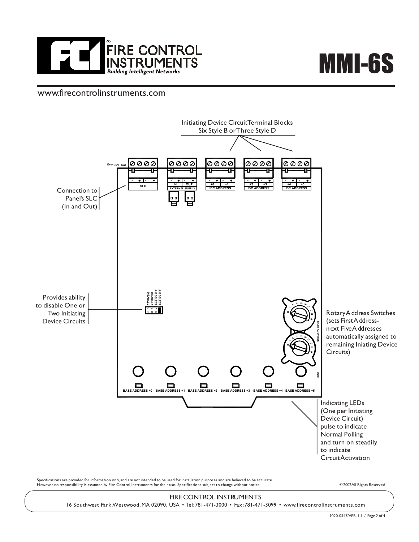

# MMI-6S

## www.firecontrolinstruments.com



However, no responsibility is assumed by Fire Control Instruments for their use. Specifications subject to change without notice. © 2002 All Rights Reserved

#### FIRE CONTROL INSTRUMENTS

16 Southwest Park, Westwood, MA 02090, USA • Tel: 781-471-3000 • Fax: 781-471-3099 • www.firecontrolinstruments.com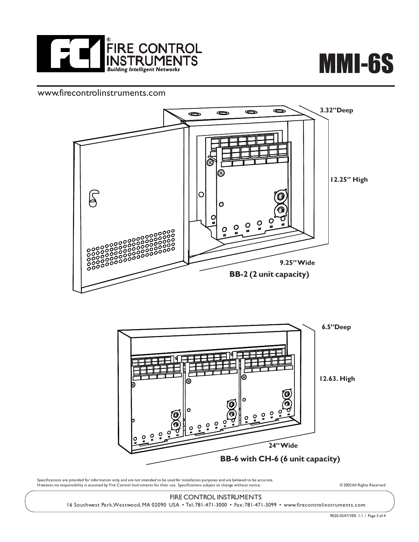



# www.firecontrolinstruments.com





Specifications are provided for information only, and are not intended to be used for installation purposes and are believed to be accurate. However, no responsibility is assumed by Fire Control Instruments for their use. Specifications subject to change without notice. © 2002 All Rights Reserved

# FIRE CONTROL INSTRUMENTS

16 Southwest Park, Westwood, MA 02090 USA • Tel: 781-471-3000 • Fax: 781-471-3099 • www.firecontrolinstruments.com